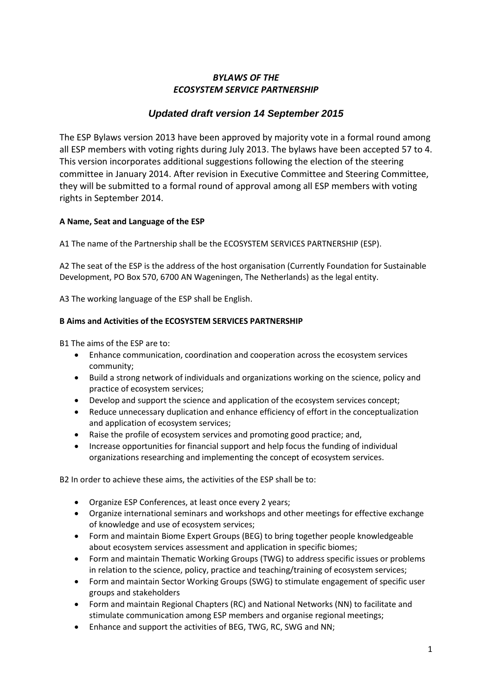# *BYLAWS OF THE ECOSYSTEM SERVICE PARTNERSHIP*

# *Updated draft version 14 September 2015*

The ESP Bylaws version 2013 have been approved by majority vote in a formal round among all ESP members with voting rights during July 2013. The bylaws have been accepted 57 to 4. This version incorporates additional suggestions following the election of the steering committee in January 2014. After revision in Executive Committee and Steering Committee, they will be submitted to a formal round of approval among all ESP members with voting rights in September 2014.

# **A Name, Seat and Language of the ESP**

A1 The name of the Partnership shall be the ECOSYSTEM SERVICES PARTNERSHIP (ESP).

A2 The seat of the ESP is the address of the host organisation (Currently Foundation for Sustainable Development, PO Box 570, 6700 AN Wageningen, The Netherlands) as the legal entity.

A3 The working language of the ESP shall be English.

# **B Aims and Activities of the ECOSYSTEM SERVICES PARTNERSHIP**

B1 The aims of the ESP are to:

- Enhance communication, coordination and cooperation across the ecosystem services community;
- Build a strong network of individuals and organizations working on the science, policy and practice of ecosystem services;
- Develop and support the science and application of the ecosystem services concept;
- Reduce unnecessary duplication and enhance efficiency of effort in the conceptualization and application of ecosystem services;
- Raise the profile of ecosystem services and promoting good practice; and,
- Increase opportunities for financial support and help focus the funding of individual organizations researching and implementing the concept of ecosystem services.

B2 In order to achieve these aims, the activities of the ESP shall be to:

- Organize ESP Conferences, at least once every 2 years;
- Organize international seminars and workshops and other meetings for effective exchange of knowledge and use of ecosystem services;
- Form and maintain Biome Expert Groups (BEG) to bring together people knowledgeable about ecosystem services assessment and application in specific biomes;
- Form and maintain Thematic Working Groups (TWG) to address specific issues or problems in relation to the science, policy, practice and teaching/training of ecosystem services;
- Form and maintain Sector Working Groups (SWG) to stimulate engagement of specific user groups and stakeholders
- Form and maintain Regional Chapters (RC) and National Networks (NN) to facilitate and stimulate communication among ESP members and organise regional meetings;
- Enhance and support the activities of BEG, TWG, RC, SWG and NN;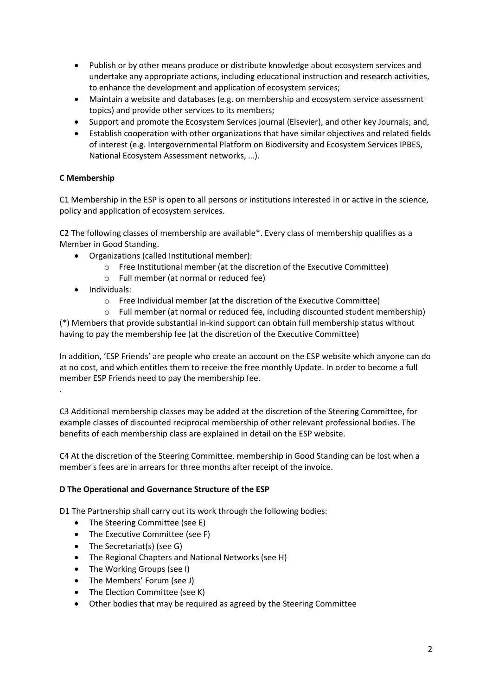- Publish or by other means produce or distribute knowledge about ecosystem services and undertake any appropriate actions, including educational instruction and research activities, to enhance the development and application of ecosystem services;
- Maintain a website and databases (e.g. on membership and ecosystem service assessment topics) and provide other services to its members;
- Support and promote the Ecosystem Services journal (Elsevier), and other key Journals; and,
- Establish cooperation with other organizations that have similar objectives and related fields of interest (e.g. Intergovernmental Platform on Biodiversity and Ecosystem Services IPBES, National Ecosystem Assessment networks, …).

# **C Membership**

C1 Membership in the ESP is open to all persons or institutions interested in or active in the science, policy and application of ecosystem services.

C2 The following classes of membership are available\*. Every class of membership qualifies as a Member in Good Standing.

- Organizations (called Institutional member):
	- o Free Institutional member (at the discretion of the Executive Committee)
	- o Full member (at normal or reduced fee)
- Individuals:

.

- o Free Individual member (at the discretion of the Executive Committee)
- o Full member (at normal or reduced fee, including discounted student membership)

(\*) Members that provide substantial in-kind support can obtain full membership status without having to pay the membership fee (at the discretion of the Executive Committee)

In addition, 'ESP Friends' are people who create an account on the ESP website which anyone can do at no cost, and which entitles them to receive the free monthly Update. In order to become a full member ESP Friends need to pay the membership fee.

C3 Additional membership classes may be added at the discretion of the Steering Committee, for example classes of discounted reciprocal membership of other relevant professional bodies. The benefits of each membership class are explained in detail on the ESP website.

C4 At the discretion of the Steering Committee, membership in Good Standing can be lost when a member's fees are in arrears for three months after receipt of the invoice.

# **D The Operational and Governance Structure of the ESP**

D1 The Partnership shall carry out its work through the following bodies:

- The Steering Committee (see E)
- The Executive Committee (see F)
- The Secretariat(s) (see G)
- The Regional Chapters and National Networks (see H)
- The Working Groups (see I)
- The Members' Forum (see J)
- The Election Committee (see K)
- Other bodies that may be required as agreed by the Steering Committee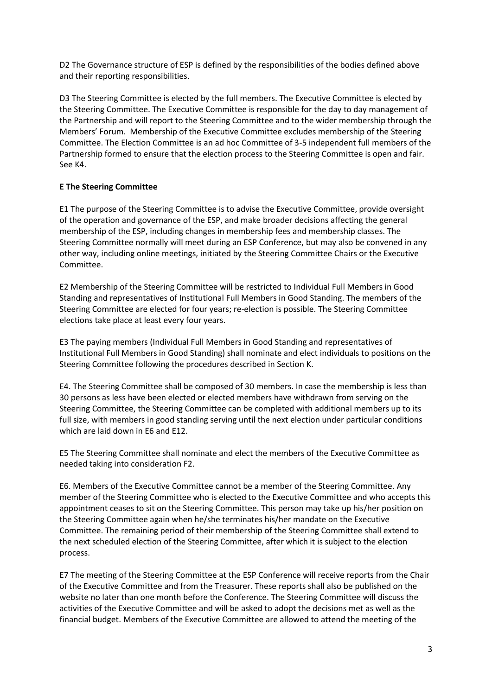D2 The Governance structure of ESP is defined by the responsibilities of the bodies defined above and their reporting responsibilities.

D3 The Steering Committee is elected by the full members. The Executive Committee is elected by the Steering Committee. The Executive Committee is responsible for the day to day management of the Partnership and will report to the Steering Committee and to the wider membership through the Members' Forum. Membership of the Executive Committee excludes membership of the Steering Committee. The Election Committee is an ad hoc Committee of 3-5 independent full members of the Partnership formed to ensure that the election process to the Steering Committee is open and fair. See K4.

# **E The Steering Committee**

E1 The purpose of the Steering Committee is to advise the Executive Committee, provide oversight of the operation and governance of the ESP, and make broader decisions affecting the general membership of the ESP, including changes in membership fees and membership classes. The Steering Committee normally will meet during an ESP Conference, but may also be convened in any other way, including online meetings, initiated by the Steering Committee Chairs or the Executive Committee.

E2 Membership of the Steering Committee will be restricted to Individual Full Members in Good Standing and representatives of Institutional Full Members in Good Standing. The members of the Steering Committee are elected for four years; re-election is possible. The Steering Committee elections take place at least every four years.

E3 The paying members (Individual Full Members in Good Standing and representatives of Institutional Full Members in Good Standing) shall nominate and elect individuals to positions on the Steering Committee following the procedures described in Section K.

E4. The Steering Committee shall be composed of 30 members. In case the membership is less than 30 persons as less have been elected or elected members have withdrawn from serving on the Steering Committee, the Steering Committee can be completed with additional members up to its full size, with members in good standing serving until the next election under particular conditions which are laid down in E6 and E12.

E5 The Steering Committee shall nominate and elect the members of the Executive Committee as needed taking into consideration F2.

E6. Members of the Executive Committee cannot be a member of the Steering Committee. Any member of the Steering Committee who is elected to the Executive Committee and who accepts this appointment ceases to sit on the Steering Committee. This person may take up his/her position on the Steering Committee again when he/she terminates his/her mandate on the Executive Committee. The remaining period of their membership of the Steering Committee shall extend to the next scheduled election of the Steering Committee, after which it is subject to the election process.

E7 The meeting of the Steering Committee at the ESP Conference will receive reports from the Chair of the Executive Committee and from the Treasurer. These reports shall also be published on the website no later than one month before the Conference. The Steering Committee will discuss the activities of the Executive Committee and will be asked to adopt the decisions met as well as the financial budget. Members of the Executive Committee are allowed to attend the meeting of the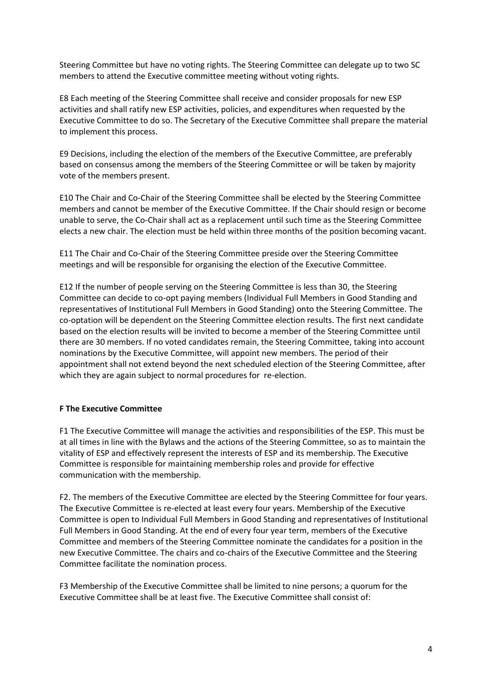Steering Committee but have no voting rights. The Steering Committee can delegate up to two SC members to attend the Executive committee meeting without voting rights.

E8 Each meeting of the Steering Committee shall receive and consider proposals for new ESP activities and shall ratify new ESP activities, policies, and expenditures when requested by the Executive Committee to do so. The Secretary of the Executive Committee shall prepare the material to implement this process.

E9 Decisions, including the election of the members of the Executive Committee, are preferably based on consensus among the members of the Steering Committee or will be taken by majority vote of the members present.

E10 The Chair and Co-Chair of the Steering Committee shall be elected by the Steering Committee members and cannot be member of the Executive Committee. If the Chair should resign or become unable to serve, the Co-Chair shall act as a replacement until such time as the Steering Committee elects a new chair. The election must be held within three months of the position becoming vacant.

E11 The Chair and Co-Chair of the Steering Committee preside over the Steering Committee meetings and will be responsible for organising the election of the Executive Committee.

E12 If the number of people serving on the Steering Committee is less than 30, the Steering Committee can decide to co-opt paying members (Individual Full Members in Good Standing and representatives of Institutional Full Members in Good Standing) onto the Steering Committee. The co-optation will be dependent on the Steering Committee election results. The first next candidate based on the election results will be invited to become a member of the Steering Committee until there are 30 members. If no voted candidates remain, the Steering Committee, taking into account nominations by the Executive Committee, will appoint new members. The period of their appointment shall not extend beyond the next scheduled election of the Steering Committee, after which they are again subject to normal procedures for re-election.

#### **F The Executive Committee**

F1 The Executive Committee will manage the activities and responsibilities of the ESP. This must be at all times in line with the Bylaws and the actions of the Steering Committee, so as to maintain the vitality of ESP and effectively represent the interests of ESP and its membership. The Executive Committee is responsible for maintaining membership roles and provide for effective communication with the membership.

F2. The members of the Executive Committee are elected by the Steering Committee for four years. The Executive Committee is re-elected at least every four years. Membership of the Executive Committee is open to Individual Full Members in Good Standing and representatives of Institutional Full Members in Good Standing. At the end of every four year term, members of the Executive Committee and members of the Steering Committee nominate the candidates for a position in the new Executive Committee. The chairs and co-chairs of the Executive Committee and the Steering Committee facilitate the nomination process.

F3 Membership of the Executive Committee shall be limited to nine persons; a quorum for the Executive Committee shall be at least five. The Executive Committee shall consist of: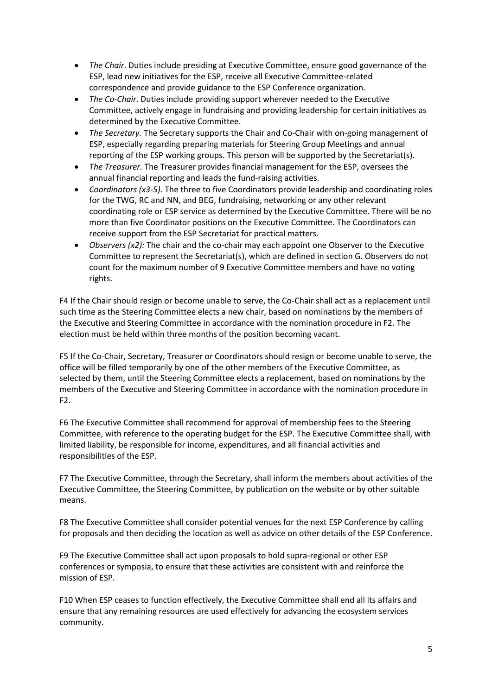- *The Chair*. Duties include presiding at Executive Committee, ensure good governance of the ESP, lead new initiatives for the ESP, receive all Executive Committee-related correspondence and provide guidance to the ESP Conference organization.
- *The Co-Chair*. Duties include providing support wherever needed to the Executive Committee, actively engage in fundraising and providing leadership for certain initiatives as determined by the Executive Committee.
- *The Secretary.* The Secretary supports the Chair and Co-Chair with on-going management of ESP, especially regarding preparing materials for Steering Group Meetings and annual reporting of the ESP working groups. This person will be supported by the Secretariat(s).
- *The Treasurer.* The Treasurer provides financial management for the ESP, oversees the annual financial reporting and leads the fund-raising activities.
- *Coordinators (x3-5)*. The three to five Coordinators provide leadership and coordinating roles for the TWG, RC and NN, and BEG, fundraising, networking or any other relevant coordinating role or ESP service as determined by the Executive Committee. There will be no more than five Coordinator positions on the Executive Committee. The Coordinators can receive support from the ESP Secretariat for practical matters.
- *Observers (x2):* The chair and the co-chair may each appoint one Observer to the Executive Committee to represent the Secretariat(s), which are defined in section G. Observers do not count for the maximum number of 9 Executive Committee members and have no voting rights.

F4 If the Chair should resign or become unable to serve, the Co-Chair shall act as a replacement until such time as the Steering Committee elects a new chair, based on nominations by the members of the Executive and Steering Committee in accordance with the nomination procedure in F2. The election must be held within three months of the position becoming vacant.

F5 If the Co-Chair, Secretary, Treasurer or Coordinators should resign or become unable to serve, the office will be filled temporarily by one of the other members of the Executive Committee, as selected by them, until the Steering Committee elects a replacement, based on nominations by the members of the Executive and Steering Committee in accordance with the nomination procedure in F2.

F6 The Executive Committee shall recommend for approval of membership fees to the Steering Committee, with reference to the operating budget for the ESP. The Executive Committee shall, with limited liability, be responsible for income, expenditures, and all financial activities and responsibilities of the ESP.

F7 The Executive Committee, through the Secretary, shall inform the members about activities of the Executive Committee, the Steering Committee, by publication on the website or by other suitable means.

F8 The Executive Committee shall consider potential venues for the next ESP Conference by calling for proposals and then deciding the location as well as advice on other details of the ESP Conference.

F9 The Executive Committee shall act upon proposals to hold supra-regional or other ESP conferences or symposia, to ensure that these activities are consistent with and reinforce the mission of ESP.

F10 When ESP ceases to function effectively, the Executive Committee shall end all its affairs and ensure that any remaining resources are used effectively for advancing the ecosystem services community.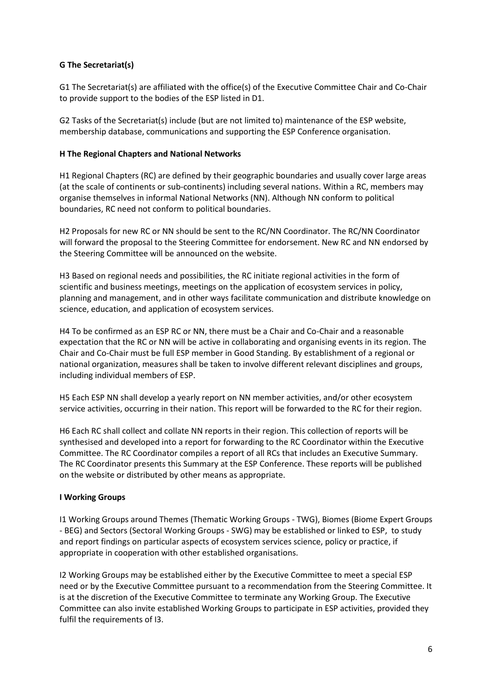## **G The Secretariat(s)**

G1 The Secretariat(s) are affiliated with the office(s) of the Executive Committee Chair and Co-Chair to provide support to the bodies of the ESP listed in D1.

G2 Tasks of the Secretariat(s) include (but are not limited to) maintenance of the ESP website, membership database, communications and supporting the ESP Conference organisation.

### **H The Regional Chapters and National Networks**

H1 Regional Chapters (RC) are defined by their geographic boundaries and usually cover large areas (at the scale of continents or sub-continents) including several nations. Within a RC, members may organise themselves in informal National Networks (NN). Although NN conform to political boundaries, RC need not conform to political boundaries.

H2 Proposals for new RC or NN should be sent to the RC/NN Coordinator. The RC/NN Coordinator will forward the proposal to the Steering Committee for endorsement. New RC and NN endorsed by the Steering Committee will be announced on the website.

H3 Based on regional needs and possibilities, the RC initiate regional activities in the form of scientific and business meetings, meetings on the application of ecosystem services in policy, planning and management, and in other ways facilitate communication and distribute knowledge on science, education, and application of ecosystem services.

H4 To be confirmed as an ESP RC or NN, there must be a Chair and Co-Chair and a reasonable expectation that the RC or NN will be active in collaborating and organising events in its region. The Chair and Co-Chair must be full ESP member in Good Standing. By establishment of a regional or national organization, measures shall be taken to involve different relevant disciplines and groups, including individual members of ESP.

H5 Each ESP NN shall develop a yearly report on NN member activities, and/or other ecosystem service activities, occurring in their nation. This report will be forwarded to the RC for their region.

H6 Each RC shall collect and collate NN reports in their region. This collection of reports will be synthesised and developed into a report for forwarding to the RC Coordinator within the Executive Committee. The RC Coordinator compiles a report of all RCs that includes an Executive Summary. The RC Coordinator presents this Summary at the ESP Conference. These reports will be published on the website or distributed by other means as appropriate.

#### **I Working Groups**

I1 Working Groups around Themes (Thematic Working Groups - TWG), Biomes (Biome Expert Groups - BEG) and Sectors (Sectoral Working Groups - SWG) may be established or linked to ESP, to study and report findings on particular aspects of ecosystem services science, policy or practice, if appropriate in cooperation with other established organisations.

I2 Working Groups may be established either by the Executive Committee to meet a special ESP need or by the Executive Committee pursuant to a recommendation from the Steering Committee. It is at the discretion of the Executive Committee to terminate any Working Group. The Executive Committee can also invite established Working Groups to participate in ESP activities, provided they fulfil the requirements of I3.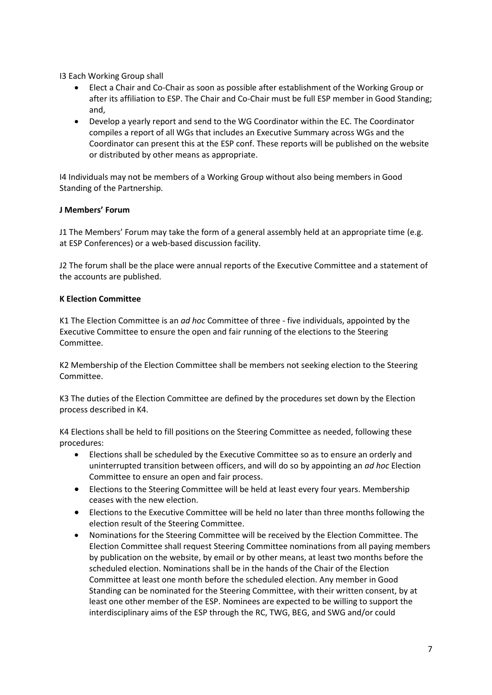I3 Each Working Group shall

- Elect a Chair and Co-Chair as soon as possible after establishment of the Working Group or after its affiliation to ESP. The Chair and Co-Chair must be full ESP member in Good Standing; and,
- Develop a yearly report and send to the WG Coordinator within the EC. The Coordinator compiles a report of all WGs that includes an Executive Summary across WGs and the Coordinator can present this at the ESP conf. These reports will be published on the website or distributed by other means as appropriate.

I4 Individuals may not be members of a Working Group without also being members in Good Standing of the Partnership.

## **J Members' Forum**

J1 The Members' Forum may take the form of a general assembly held at an appropriate time (e.g. at ESP Conferences) or a web-based discussion facility.

J2 The forum shall be the place were annual reports of the Executive Committee and a statement of the accounts are published.

## **K Election Committee**

K1 The Election Committee is an *ad hoc* Committee of three - five individuals, appointed by the Executive Committee to ensure the open and fair running of the elections to the Steering Committee.

K2 Membership of the Election Committee shall be members not seeking election to the Steering Committee.

K3 The duties of the Election Committee are defined by the procedures set down by the Election process described in K4.

K4 Elections shall be held to fill positions on the Steering Committee as needed, following these procedures:

- Elections shall be scheduled by the Executive Committee so as to ensure an orderly and uninterrupted transition between officers, and will do so by appointing an *ad hoc* Election Committee to ensure an open and fair process.
- Elections to the Steering Committee will be held at least every four years. Membership ceases with the new election.
- Elections to the Executive Committee will be held no later than three months following the election result of the Steering Committee.
- Nominations for the Steering Committee will be received by the Election Committee. The Election Committee shall request Steering Committee nominations from all paying members by publication on the website, by email or by other means, at least two months before the scheduled election. Nominations shall be in the hands of the Chair of the Election Committee at least one month before the scheduled election. Any member in Good Standing can be nominated for the Steering Committee, with their written consent, by at least one other member of the ESP. Nominees are expected to be willing to support the interdisciplinary aims of the ESP through the RC, TWG, BEG, and SWG and/or could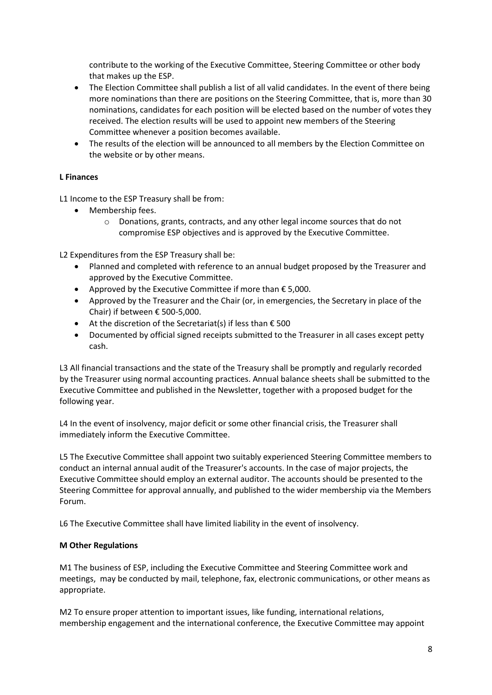contribute to the working of the Executive Committee, Steering Committee or other body that makes up the ESP.

- The Election Committee shall publish a list of all valid candidates. In the event of there being more nominations than there are positions on the Steering Committee, that is, more than 30 nominations, candidates for each position will be elected based on the number of votes they received. The election results will be used to appoint new members of the Steering Committee whenever a position becomes available.
- The results of the election will be announced to all members by the Election Committee on the website or by other means.

## **L Finances**

L1 Income to the ESP Treasury shall be from:

- Membership fees.
	- o Donations, grants, contracts, and any other legal income sources that do not compromise ESP objectives and is approved by the Executive Committee.

L2 Expenditures from the ESP Treasury shall be:

- Planned and completed with reference to an annual budget proposed by the Treasurer and approved by the Executive Committee.
- Approved by the Executive Committee if more than  $\epsilon$  5,000.
- Approved by the Treasurer and the Chair (or, in emergencies, the Secretary in place of the Chair) if between  $\epsilon$  500-5,000.
- At the discretion of the Secretariat(s) if less than  $\epsilon$  500
- Documented by official signed receipts submitted to the Treasurer in all cases except petty cash.

L3 All financial transactions and the state of the Treasury shall be promptly and regularly recorded by the Treasurer using normal accounting practices. Annual balance sheets shall be submitted to the Executive Committee and published in the Newsletter, together with a proposed budget for the following year.

L4 In the event of insolvency, major deficit or some other financial crisis, the Treasurer shall immediately inform the Executive Committee.

L5 The Executive Committee shall appoint two suitably experienced Steering Committee members to conduct an internal annual audit of the Treasurer's accounts. In the case of major projects, the Executive Committee should employ an external auditor. The accounts should be presented to the Steering Committee for approval annually, and published to the wider membership via the Members Forum.

L6 The Executive Committee shall have limited liability in the event of insolvency.

#### **M Other Regulations**

M1 The business of ESP, including the Executive Committee and Steering Committee work and meetings, may be conducted by mail, telephone, fax, electronic communications, or other means as appropriate.

M2 To ensure proper attention to important issues, like funding, international relations, membership engagement and the international conference, the Executive Committee may appoint